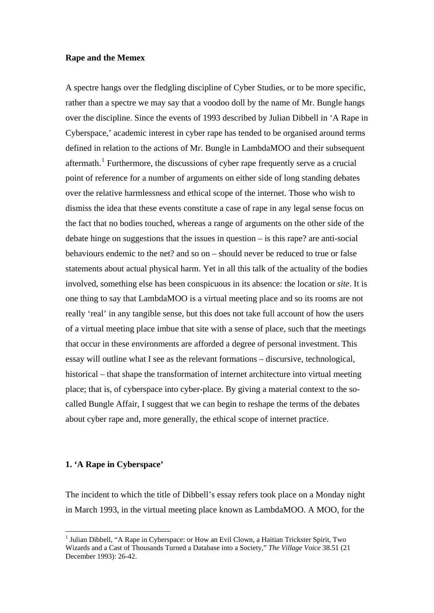# **Rape and the Memex**

A spectre hangs over the fledgling discipline of Cyber Studies, or to be more specific, rather than a spectre we may say that a voodoo doll by the name of Mr. Bungle hangs over the discipline. Since the events of 1993 described by Julian Dibbell in 'A Rape in Cyberspace,' academic interest in cyber rape has tended to be organised around terms defined in relation to the actions of Mr. Bungle in LambdaMOO and their subsequent aftermath.<sup>[1](#page-0-0)</sup> Furthermore, the discussions of cyber rape frequently serve as a crucial point of reference for a number of arguments on either side of long standing debates over the relative harmlessness and ethical scope of the internet. Those who wish to dismiss the idea that these events constitute a case of rape in any legal sense focus on the fact that no bodies touched, whereas a range of arguments on the other side of the debate hinge on suggestions that the issues in question – is this rape? are anti-social behaviours endemic to the net? and so on – should never be reduced to true or false statements about actual physical harm. Yet in all this talk of the actuality of the bodies involved, something else has been conspicuous in its absence: the location or *site*. It is one thing to say that LambdaMOO is a virtual meeting place and so its rooms are not really 'real' in any tangible sense, but this does not take full account of how the users of a virtual meeting place imbue that site with a sense of place, such that the meetings that occur in these environments are afforded a degree of personal investment. This essay will outline what I see as the relevant formations – discursive, technological, historical – that shape the transformation of internet architecture into virtual meeting place; that is, of cyberspace into cyber-place. By giving a material context to the socalled Bungle Affair, I suggest that we can begin to reshape the terms of the debates about cyber rape and, more generally, the ethical scope of internet practice.

## **1. 'A Rape in Cyberspace'**

 $\overline{a}$ 

The incident to which the title of Dibbell's essay refers took place on a Monday night in March 1993, in the virtual meeting place known as LambdaMOO. A MOO, for the

<span id="page-0-0"></span><sup>&</sup>lt;sup>1</sup> Julian Dibbell, "A Rape in Cyberspace: or How an Evil Clown, a Haitian Trickster Spirit, Two Wizards and a Cast of Thousands Turned a Database into a Society," *The Village Voice* 38.51 (21 December 1993): 26-42.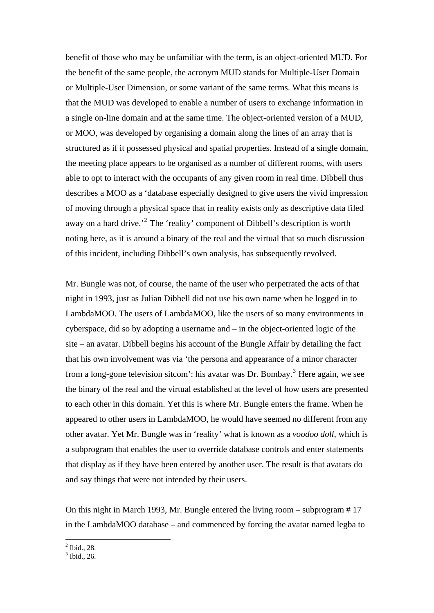benefit of those who may be unfamiliar with the term, is an object-oriented MUD. For the benefit of the same people, the acronym MUD stands for Multiple-User Domain or Multiple-User Dimension, or some variant of the same terms. What this means is that the MUD was developed to enable a number of users to exchange information in a single on-line domain and at the same time. The object-oriented version of a MUD, or MOO, was developed by organising a domain along the lines of an array that is structured as if it possessed physical and spatial properties. Instead of a single domain, the meeting place appears to be organised as a number of different rooms, with users able to opt to interact with the occupants of any given room in real time. Dibbell thus describes a MOO as a 'database especially designed to give users the vivid impression of moving through a physical space that in reality exists only as descriptive data filed away on a hard drive.<sup> $2$ </sup> The 'reality' component of Dibbell's description is worth noting here, as it is around a binary of the real and the virtual that so much discussion of this incident, including Dibbell's own analysis, has subsequently revolved.

Mr. Bungle was not, of course, the name of the user who perpetrated the acts of that night in 1993, just as Julian Dibbell did not use his own name when he logged in to LambdaMOO. The users of LambdaMOO, like the users of so many environments in cyberspace, did so by adopting a username and – in the object-oriented logic of the site – an avatar. Dibbell begins his account of the Bungle Affair by detailing the fact that his own involvement was via 'the persona and appearance of a minor character from a long-gone television sitcom': his avatar was Dr. Bombay.<sup>[3](#page-1-1)</sup> Here again, we see the binary of the real and the virtual established at the level of how users are presented to each other in this domain. Yet this is where Mr. Bungle enters the frame. When he appeared to other users in LambdaMOO, he would have seemed no different from any other avatar. Yet Mr. Bungle was in 'reality' what is known as a *voodoo doll*, which is a subprogram that enables the user to override database controls and enter statements that display as if they have been entered by another user. The result is that avatars do and say things that were not intended by their users.

On this night in March 1993, Mr. Bungle entered the living room – subprogram # 17 in the LambdaMOO database – and commenced by forcing the avatar named legba to

<sup>2</sup> Ibid., 28.

<span id="page-1-1"></span><span id="page-1-0"></span> $3$  Ibid., 26.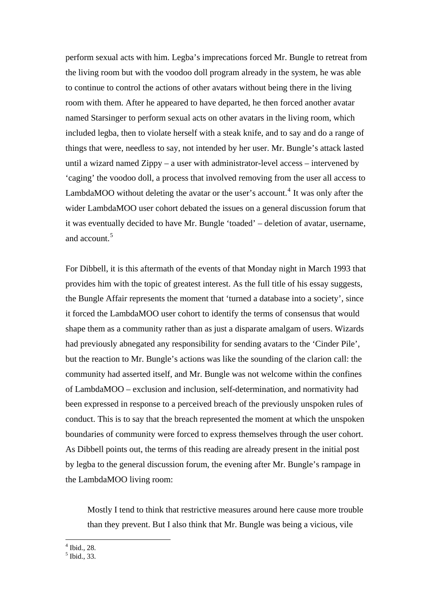perform sexual acts with him. Legba's imprecations forced Mr. Bungle to retreat from the living room but with the voodoo doll program already in the system, he was able to continue to control the actions of other avatars without being there in the living room with them. After he appeared to have departed, he then forced another avatar named Starsinger to perform sexual acts on other avatars in the living room, which included legba, then to violate herself with a steak knife, and to say and do a range of things that were, needless to say, not intended by her user. Mr. Bungle's attack lasted until a wizard named Zippy – a user with administrator-level access – intervened by 'caging' the voodoo doll, a process that involved removing from the user all access to LambdaMOO without deleting the avatar or the user's account.<sup>[4](#page-2-0)</sup> It was only after the wider LambdaMOO user cohort debated the issues on a general discussion forum that it was eventually decided to have Mr. Bungle 'toaded' – deletion of avatar, username, and account.<sup>[5](#page-2-1)</sup>

For Dibbell, it is this aftermath of the events of that Monday night in March 1993 that provides him with the topic of greatest interest. As the full title of his essay suggests, the Bungle Affair represents the moment that 'turned a database into a society', since it forced the LambdaMOO user cohort to identify the terms of consensus that would shape them as a community rather than as just a disparate amalgam of users. Wizards had previously abnegated any responsibility for sending avatars to the 'Cinder Pile', but the reaction to Mr. Bungle's actions was like the sounding of the clarion call: the community had asserted itself, and Mr. Bungle was not welcome within the confines of LambdaMOO – exclusion and inclusion, self-determination, and normativity had been expressed in response to a perceived breach of the previously unspoken rules of conduct. This is to say that the breach represented the moment at which the unspoken boundaries of community were forced to express themselves through the user cohort. As Dibbell points out, the terms of this reading are already present in the initial post by legba to the general discussion forum, the evening after Mr. Bungle's rampage in the LambdaMOO living room:

Mostly I tend to think that restrictive measures around here cause more trouble than they prevent. But I also think that Mr. Bungle was being a vicious, vile

4 Ibid., 28.

<span id="page-2-1"></span><span id="page-2-0"></span><sup>5</sup> Ibid., 33.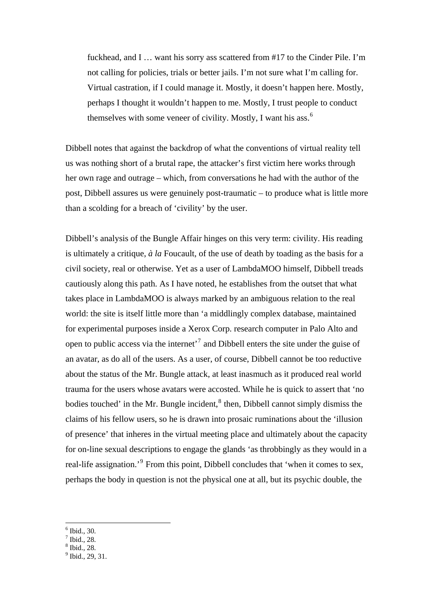fuckhead, and I … want his sorry ass scattered from #17 to the Cinder Pile. I'm not calling for policies, trials or better jails. I'm not sure what I'm calling for. Virtual castration, if I could manage it. Mostly, it doesn't happen here. Mostly, perhaps I thought it wouldn't happen to me. Mostly, I trust people to conduct themselves with some veneer of civility. Mostly, I want his ass.[6](#page-3-0)

Dibbell notes that against the backdrop of what the conventions of virtual reality tell us was nothing short of a brutal rape, the attacker's first victim here works through her own rage and outrage – which, from conversations he had with the author of the post, Dibbell assures us were genuinely post-traumatic – to produce what is little more than a scolding for a breach of 'civility' by the user.

Dibbell's analysis of the Bungle Affair hinges on this very term: civility. His reading is ultimately a critique,  $\dot{a}$  la Foucault, of the use of death by toading as the basis for a civil society, real or otherwise. Yet as a user of LambdaMOO himself, Dibbell treads cautiously along this path. As I have noted, he establishes from the outset that what takes place in LambdaMOO is always marked by an ambiguous relation to the real world: the site is itself little more than 'a middlingly complex database, maintained for experimental purposes inside a Xerox Corp. research computer in Palo Alto and open to public access via the internet<sup> $7$ </sup> and Dibbell enters the site under the guise of an avatar, as do all of the users. As a user, of course, Dibbell cannot be too reductive about the status of the Mr. Bungle attack, at least inasmuch as it produced real world trauma for the users whose avatars were accosted. While he is quick to assert that 'no bodies touched' in the Mr. Bungle incident,<sup>[8](#page-3-2)</sup> then, Dibbell cannot simply dismiss the claims of his fellow users, so he is drawn into prosaic ruminations about the 'illusion of presence' that inheres in the virtual meeting place and ultimately about the capacity for on-line sexual descriptions to engage the glands 'as throbbingly as they would in a real-life assignation.<sup>[9](#page-3-3)</sup> From this point, Dibbell concludes that 'when it comes to sex, perhaps the body in question is not the physical one at all, but its psychic double, the

 $\overline{a}$ 

8 Ibid., 28.

<sup>6</sup> Ibid., 30.

<span id="page-3-2"></span><span id="page-3-1"></span><span id="page-3-0"></span> $<sup>7</sup>$  Ibid., 28.</sup>

<span id="page-3-3"></span> $<sup>9</sup>$  Ibid., 29, 31.</sup>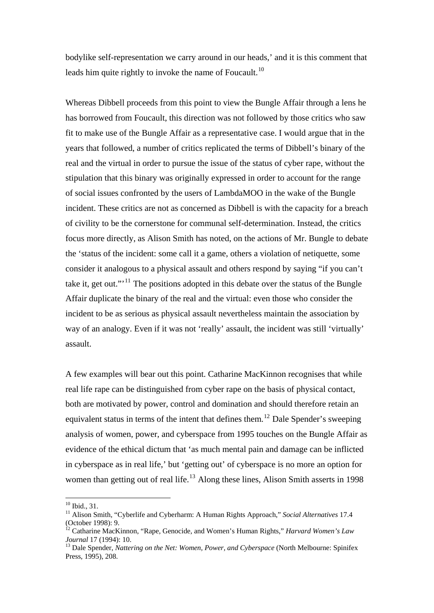bodylike self-representation we carry around in our heads,' and it is this comment that leads him quite rightly to invoke the name of Foucault.<sup>[10](#page-4-0)</sup>

Whereas Dibbell proceeds from this point to view the Bungle Affair through a lens he has borrowed from Foucault, this direction was not followed by those critics who saw fit to make use of the Bungle Affair as a representative case. I would argue that in the years that followed, a number of critics replicated the terms of Dibbell's binary of the real and the virtual in order to pursue the issue of the status of cyber rape, without the stipulation that this binary was originally expressed in order to account for the range of social issues confronted by the users of LambdaMOO in the wake of the Bungle incident. These critics are not as concerned as Dibbell is with the capacity for a breach of civility to be the cornerstone for communal self-determination. Instead, the critics focus more directly, as Alison Smith has noted, on the actions of Mr. Bungle to debate the 'status of the incident: some call it a game, others a violation of netiquette, some consider it analogous to a physical assault and others respond by saying "if you can't take it, get out."<sup>[11](#page-4-1)</sup> The positions adopted in this debate over the status of the Bungle Affair duplicate the binary of the real and the virtual: even those who consider the incident to be as serious as physical assault nevertheless maintain the association by way of an analogy. Even if it was not 'really' assault, the incident was still 'virtually' assault.

A few examples will bear out this point. Catharine MacKinnon recognises that while real life rape can be distinguished from cyber rape on the basis of physical contact, both are motivated by power, control and domination and should therefore retain an equivalent status in terms of the intent that defines them.<sup>[12](#page-4-2)</sup> Dale Spender's sweeping analysis of women, power, and cyberspace from 1995 touches on the Bungle Affair as evidence of the ethical dictum that 'as much mental pain and damage can be inflicted in cyberspace as in real life,' but 'getting out' of cyberspace is no more an option for women than getting out of real life.<sup>[13](#page-4-3)</sup> Along these lines, Alison Smith asserts in 1998

 $10$  Ibid., 31.

<span id="page-4-1"></span><span id="page-4-0"></span><sup>11</sup> Alison Smith, "Cyberlife and Cyberharm: A Human Rights Approach," *Social Alternatives* 17.4 (October 1998): 9.

<span id="page-4-2"></span><sup>&</sup>lt;sup>12</sup> Catharine MacKinnon, "Rape, Genocide, and Women's Human Rights," *Harvard Women's Law Journal* 17 (1994): 10.<br><sup>13</sup> Dale Spender, *Nattering on the Net: Women, Power, and Cyberspace* (North Melbourne: Spinifex

<span id="page-4-3"></span>Press, 1995), 208.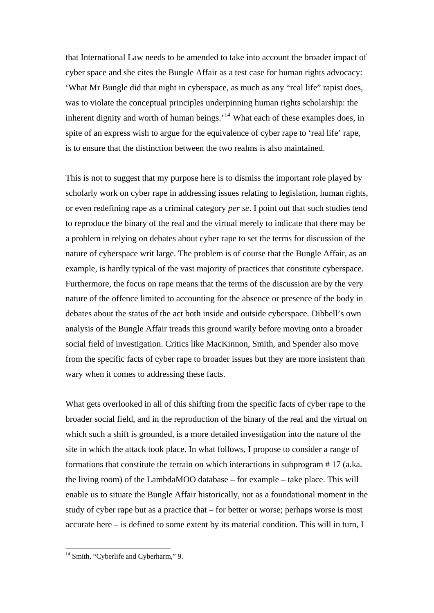that International Law needs to be amended to take into account the broader impact of cyber space and she cites the Bungle Affair as a test case for human rights advocacy: 'What Mr Bungle did that night in cyberspace, as much as any "real life" rapist does, was to violate the conceptual principles underpinning human rights scholarship: the inherent dignity and worth of human beings.'[14](#page-5-0) What each of these examples does, in spite of an express wish to argue for the equivalence of cyber rape to 'real life' rape, is to ensure that the distinction between the two realms is also maintained.

This is not to suggest that my purpose here is to dismiss the important role played by scholarly work on cyber rape in addressing issues relating to legislation, human rights, or even redefining rape as a criminal category *per se*. I point out that such studies tend to reproduce the binary of the real and the virtual merely to indicate that there may be a problem in relying on debates about cyber rape to set the terms for discussion of the nature of cyberspace writ large. The problem is of course that the Bungle Affair, as an example, is hardly typical of the vast majority of practices that constitute cyberspace. Furthermore, the focus on rape means that the terms of the discussion are by the very nature of the offence limited to accounting for the absence or presence of the body in debates about the status of the act both inside and outside cyberspace. Dibbell's own analysis of the Bungle Affair treads this ground warily before moving onto a broader social field of investigation. Critics like MacKinnon, Smith, and Spender also move from the specific facts of cyber rape to broader issues but they are more insistent than wary when it comes to addressing these facts.

What gets overlooked in all of this shifting from the specific facts of cyber rape to the broader social field, and in the reproduction of the binary of the real and the virtual on which such a shift is grounded, is a more detailed investigation into the nature of the site in which the attack took place. In what follows, I propose to consider a range of formations that constitute the terrain on which interactions in subprogram # 17 (a.ka. the living room) of the LambdaMOO database – for example – take place. This will enable us to situate the Bungle Affair historically, not as a foundational moment in the study of cyber rape but as a practice that – for better or worse; perhaps worse is most accurate here – is defined to some extent by its material condition. This will in turn, I

<span id="page-5-0"></span><sup>&</sup>lt;sup>14</sup> Smith, "Cyberlife and Cyberharm," 9.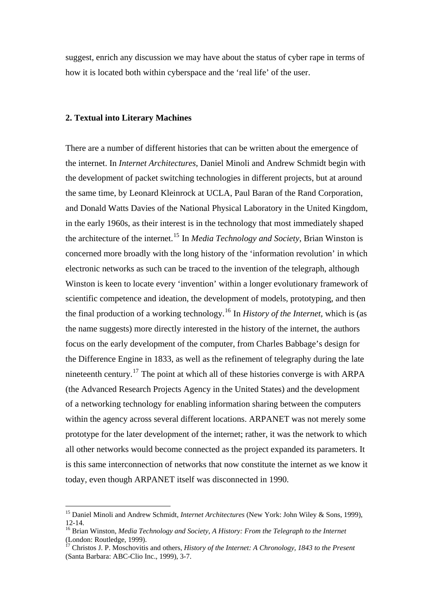suggest, enrich any discussion we may have about the status of cyber rape in terms of how it is located both within cyberspace and the 'real life' of the user.

# **2. Textual into Literary Machines**

 $\overline{a}$ 

There are a number of different histories that can be written about the emergence of the internet. In *Internet Architectures*, Daniel Minoli and Andrew Schmidt begin with the development of packet switching technologies in different projects, but at around the same time, by Leonard Kleinrock at UCLA, Paul Baran of the Rand Corporation, and Donald Watts Davies of the National Physical Laboratory in the United Kingdom, in the early 1960s, as their interest is in the technology that most immediately shaped the architecture of the internet.[15](#page-6-0) In *Media Technology and Society*, Brian Winston is concerned more broadly with the long history of the 'information revolution' in which electronic networks as such can be traced to the invention of the telegraph, although Winston is keen to locate every 'invention' within a longer evolutionary framework of scientific competence and ideation, the development of models, prototyping, and then the final production of a working technology.[16](#page-6-1) In *History of the Internet*, which is (as the name suggests) more directly interested in the history of the internet, the authors focus on the early development of the computer, from Charles Babbage's design for the Difference Engine in 1833, as well as the refinement of telegraphy during the late nineteenth century.<sup>[17](#page-6-2)</sup> The point at which all of these histories converge is with ARPA (the Advanced Research Projects Agency in the United States) and the development of a networking technology for enabling information sharing between the computers within the agency across several different locations. ARPANET was not merely some prototype for the later development of the internet; rather, it was the network to which all other networks would become connected as the project expanded its parameters. It is this same interconnection of networks that now constitute the internet as we know it today, even though ARPANET itself was disconnected in 1990.

<span id="page-6-0"></span><sup>15</sup> Daniel Minoli and Andrew Schmidt, *Internet Architectures* (New York: John Wiley & Sons, 1999), 12-14.

<span id="page-6-1"></span><sup>16</sup> Brian Winston, *Media Technology and Society, A History: From the Telegraph to the Internet* (London: Routledge, 1999).

<span id="page-6-2"></span><sup>17</sup> Christos J. P. Moschovitis and others, *History of the Internet: A Chronology, 1843 to the Present* (Santa Barbara: ABC-Clio Inc., 1999), 3-7.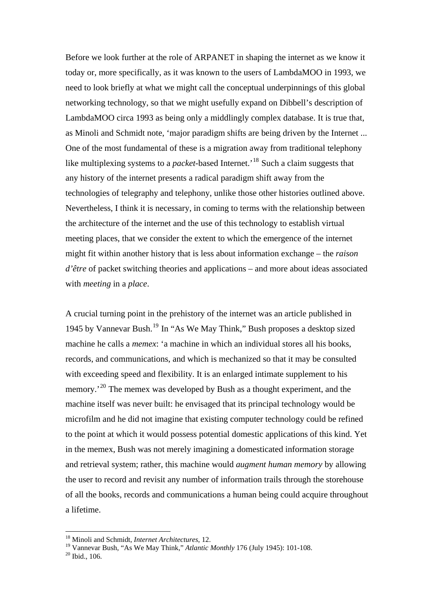Before we look further at the role of ARPANET in shaping the internet as we know it today or, more specifically, as it was known to the users of LambdaMOO in 1993, we need to look briefly at what we might call the conceptual underpinnings of this global networking technology, so that we might usefully expand on Dibbell's description of LambdaMOO circa 1993 as being only a middlingly complex database. It is true that, as Minoli and Schmidt note, 'major paradigm shifts are being driven by the Internet ... One of the most fundamental of these is a migration away from traditional telephony like multiplexing systems to a *packet*-based Internet.<sup>[18](#page-7-0)</sup> Such a claim suggests that any history of the internet presents a radical paradigm shift away from the technologies of telegraphy and telephony, unlike those other histories outlined above. Nevertheless, I think it is necessary, in coming to terms with the relationship between the architecture of the internet and the use of this technology to establish virtual meeting places, that we consider the extent to which the emergence of the internet might fit within another history that is less about information exchange – the *raison d'être* of packet switching theories and applications – and more about ideas associated with *meeting* in a *place*.

A crucial turning point in the prehistory of the internet was an article published in 1945 by Vannevar Bush.[19](#page-7-1) In "As We May Think," Bush proposes a desktop sized machine he calls a *memex*: 'a machine in which an individual stores all his books, records, and communications, and which is mechanized so that it may be consulted with exceeding speed and flexibility. It is an enlarged intimate supplement to his memory.<sup>[20](#page-7-2)</sup> The memex was developed by Bush as a thought experiment, and the machine itself was never built: he envisaged that its principal technology would be microfilm and he did not imagine that existing computer technology could be refined to the point at which it would possess potential domestic applications of this kind. Yet in the memex, Bush was not merely imagining a domesticated information storage and retrieval system; rather, this machine would *augment human memory* by allowing the user to record and revisit any number of information trails through the storehouse of all the books, records and communications a human being could acquire throughout a lifetime.

<sup>18</sup> Minoli and Schmidt, *Internet Architectures*, 12.

<span id="page-7-1"></span><span id="page-7-0"></span><sup>19</sup> Vannevar Bush, "As We May Think," *Atlantic Monthly* 176 (July 1945): 101-108.<br><sup>20</sup> Ibid., 106.

<span id="page-7-2"></span>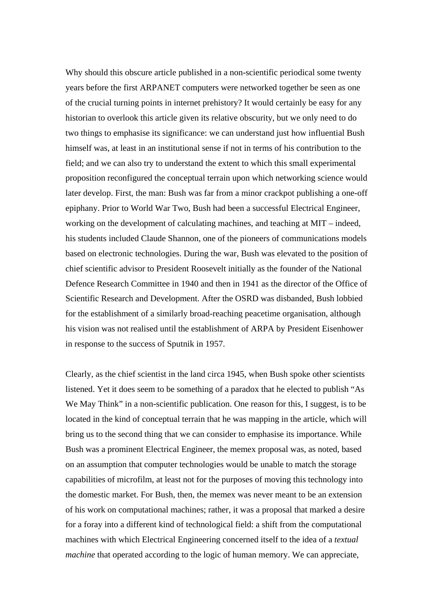Why should this obscure article published in a non-scientific periodical some twenty years before the first ARPANET computers were networked together be seen as one of the crucial turning points in internet prehistory? It would certainly be easy for any historian to overlook this article given its relative obscurity, but we only need to do two things to emphasise its significance: we can understand just how influential Bush himself was, at least in an institutional sense if not in terms of his contribution to the field; and we can also try to understand the extent to which this small experimental proposition reconfigured the conceptual terrain upon which networking science would later develop. First, the man: Bush was far from a minor crackpot publishing a one-off epiphany. Prior to World War Two, Bush had been a successful Electrical Engineer, working on the development of calculating machines, and teaching at MIT – indeed, his students included Claude Shannon, one of the pioneers of communications models based on electronic technologies. During the war, Bush was elevated to the position of chief scientific advisor to President Roosevelt initially as the founder of the National Defence Research Committee in 1940 and then in 1941 as the director of the Office of Scientific Research and Development. After the OSRD was disbanded, Bush lobbied for the establishment of a similarly broad-reaching peacetime organisation, although his vision was not realised until the establishment of ARPA by President Eisenhower in response to the success of Sputnik in 1957.

Clearly, as the chief scientist in the land circa 1945, when Bush spoke other scientists listened. Yet it does seem to be something of a paradox that he elected to publish "As We May Think" in a non-scientific publication. One reason for this, I suggest, is to be located in the kind of conceptual terrain that he was mapping in the article, which will bring us to the second thing that we can consider to emphasise its importance. While Bush was a prominent Electrical Engineer, the memex proposal was, as noted, based on an assumption that computer technologies would be unable to match the storage capabilities of microfilm, at least not for the purposes of moving this technology into the domestic market. For Bush, then, the memex was never meant to be an extension of his work on computational machines; rather, it was a proposal that marked a desire for a foray into a different kind of technological field: a shift from the computational machines with which Electrical Engineering concerned itself to the idea of a *textual machine* that operated according to the logic of human memory. We can appreciate,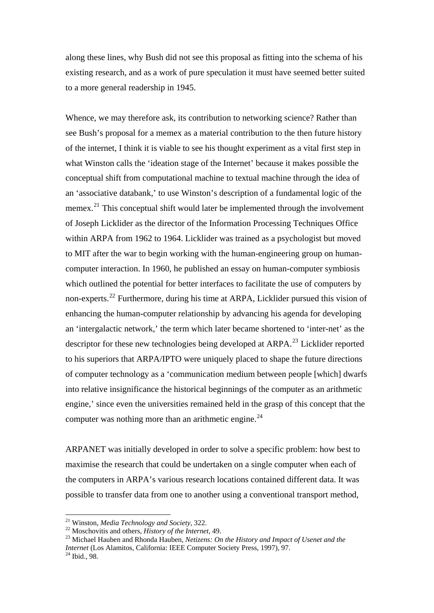along these lines, why Bush did not see this proposal as fitting into the schema of his existing research, and as a work of pure speculation it must have seemed better suited to a more general readership in 1945.

Whence, we may therefore ask, its contribution to networking science? Rather than see Bush's proposal for a memex as a material contribution to the then future history of the internet, I think it is viable to see his thought experiment as a vital first step in what Winston calls the 'ideation stage of the Internet' because it makes possible the conceptual shift from computational machine to textual machine through the idea of an 'associative databank,' to use Winston's description of a fundamental logic of the memex.<sup>[21](#page-9-0)</sup> This conceptual shift would later be implemented through the involvement of Joseph Licklider as the director of the Information Processing Techniques Office within ARPA from 1962 to 1964. Licklider was trained as a psychologist but moved to MIT after the war to begin working with the human-engineering group on humancomputer interaction. In 1960, he published an essay on human-computer symbiosis which outlined the potential for better interfaces to facilitate the use of computers by non-experts.[22](#page-9-1) Furthermore, during his time at ARPA, Licklider pursued this vision of enhancing the human-computer relationship by advancing his agenda for developing an 'intergalactic network,' the term which later became shortened to 'inter-net' as the descriptor for these new technologies being developed at ARPA.[23](#page-9-2) Licklider reported to his superiors that ARPA/IPTO were uniquely placed to shape the future directions of computer technology as a 'communication medium between people [which] dwarfs into relative insignificance the historical beginnings of the computer as an arithmetic engine,' since even the universities remained held in the grasp of this concept that the computer was nothing more than an arithmetic engine. $^{24}$  $^{24}$  $^{24}$ 

ARPANET was initially developed in order to solve a specific problem: how best to maximise the research that could be undertaken on a single computer when each of the computers in ARPA's various research locations contained different data. It was possible to transfer data from one to another using a conventional transport method,

<span id="page-9-2"></span><span id="page-9-1"></span>

<span id="page-9-0"></span><sup>&</sup>lt;sup>21</sup> Winston, *Media Technology and Society*, 322.<br><sup>22</sup> Moschovitis and others, *History of the Internet*, 49.<br><sup>23</sup> Michael Hauben and Rhonda Hauben, *Netizens: On the History and Impact of Usenet and the Internet* (Los Alamitos, California: IEEE Computer Society Press, 1997), 97. <sup>24</sup> Ibid., 98.

<span id="page-9-3"></span>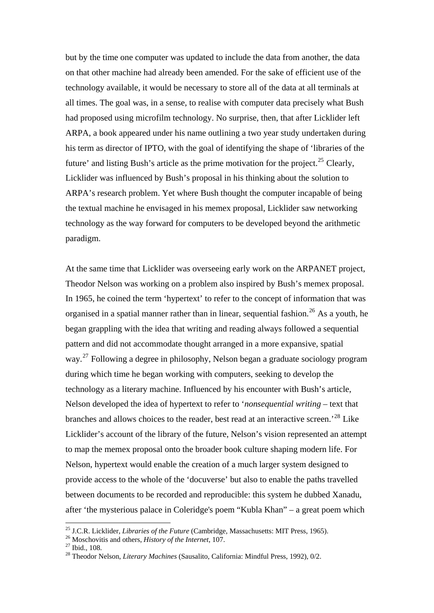but by the time one computer was updated to include the data from another, the data on that other machine had already been amended. For the sake of efficient use of the technology available, it would be necessary to store all of the data at all terminals at all times. The goal was, in a sense, to realise with computer data precisely what Bush had proposed using microfilm technology. No surprise, then, that after Licklider left ARPA, a book appeared under his name outlining a two year study undertaken during his term as director of IPTO, with the goal of identifying the shape of 'libraries of the future' and listing Bush's article as the prime motivation for the project.<sup>[25](#page-10-0)</sup> Clearly, Licklider was influenced by Bush's proposal in his thinking about the solution to ARPA's research problem. Yet where Bush thought the computer incapable of being the textual machine he envisaged in his memex proposal, Licklider saw networking technology as the way forward for computers to be developed beyond the arithmetic paradigm.

At the same time that Licklider was overseeing early work on the ARPANET project, Theodor Nelson was working on a problem also inspired by Bush's memex proposal. In 1965, he coined the term 'hypertext' to refer to the concept of information that was organised in a spatial manner rather than in linear, sequential fashion.<sup>[26](#page-10-1)</sup> As a youth, he began grappling with the idea that writing and reading always followed a sequential pattern and did not accommodate thought arranged in a more expansive, spatial way.<sup>[27](#page-10-2)</sup> Following a degree in philosophy, Nelson began a graduate sociology program during which time he began working with computers, seeking to develop the technology as a literary machine. Influenced by his encounter with Bush's article, Nelson developed the idea of hypertext to refer to '*nonsequential writing* – text that branches and allows choices to the reader, best read at an interactive screen.<sup>[28](#page-10-3)</sup> Like Licklider's account of the library of the future, Nelson's vision represented an attempt to map the memex proposal onto the broader book culture shaping modern life. For Nelson, hypertext would enable the creation of a much larger system designed to provide access to the whole of the 'docuverse' but also to enable the paths travelled between documents to be recorded and reproducible: this system he dubbed Xanadu, after 'the mysterious palace in Coleridge's poem "Kubla Khan" – a great poem which

<span id="page-10-0"></span><sup>&</sup>lt;sup>25</sup> J.C.R. Licklider, *Libraries of the Future* (Cambridge, Massachusetts: MIT Press, 1965).<br><sup>26</sup> Moschovitis and others, *History of the Internet*, 107.<br><sup>27</sup> Ibid., 108.

<span id="page-10-1"></span>

<span id="page-10-3"></span><span id="page-10-2"></span><sup>28</sup> Theodor Nelson, *Literary Machines* (Sausalito, California: Mindful Press, 1992), 0/2.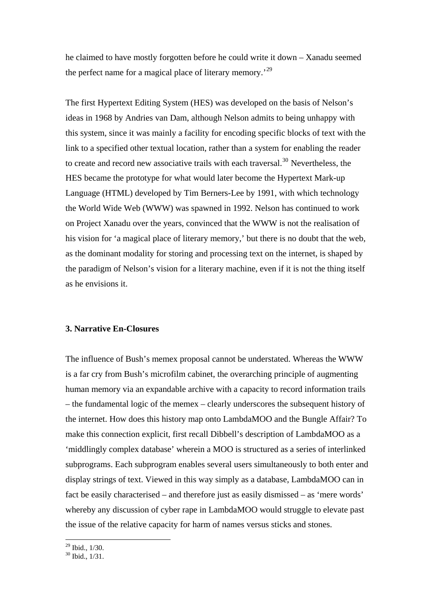he claimed to have mostly forgotten before he could write it down – Xanadu seemed the perfect name for a magical place of literary memory.<sup>[29](#page-11-0)</sup>

The first Hypertext Editing System (HES) was developed on the basis of Nelson's ideas in 1968 by Andries van Dam, although Nelson admits to being unhappy with this system, since it was mainly a facility for encoding specific blocks of text with the link to a specified other textual location, rather than a system for enabling the reader to create and record new associative trails with each traversal.<sup>[30](#page-11-1)</sup> Nevertheless, the HES became the prototype for what would later become the Hypertext Mark-up Language (HTML) developed by Tim Berners-Lee by 1991, with which technology the World Wide Web (WWW) was spawned in 1992. Nelson has continued to work on Project Xanadu over the years, convinced that the WWW is not the realisation of his vision for 'a magical place of literary memory,' but there is no doubt that the web, as the dominant modality for storing and processing text on the internet, is shaped by the paradigm of Nelson's vision for a literary machine, even if it is not the thing itself as he envisions it.

# **3. Narrative En-Closures**

The influence of Bush's memex proposal cannot be understated. Whereas the WWW is a far cry from Bush's microfilm cabinet, the overarching principle of augmenting human memory via an expandable archive with a capacity to record information trails – the fundamental logic of the memex – clearly underscores the subsequent history of the internet. How does this history map onto LambdaMOO and the Bungle Affair? To make this connection explicit, first recall Dibbell's description of LambdaMOO as a 'middlingly complex database' wherein a MOO is structured as a series of interlinked subprograms. Each subprogram enables several users simultaneously to both enter and display strings of text. Viewed in this way simply as a database, LambdaMOO can in fact be easily characterised – and therefore just as easily dismissed – as 'mere words' whereby any discussion of cyber rape in LambdaMOO would struggle to elevate past the issue of the relative capacity for harm of names versus sticks and stones.

 $\overline{a}$  $29$  Ibid.,  $1/30$ .

<span id="page-11-1"></span><span id="page-11-0"></span><sup>&</sup>lt;sup>30</sup> Ibid., 1/31.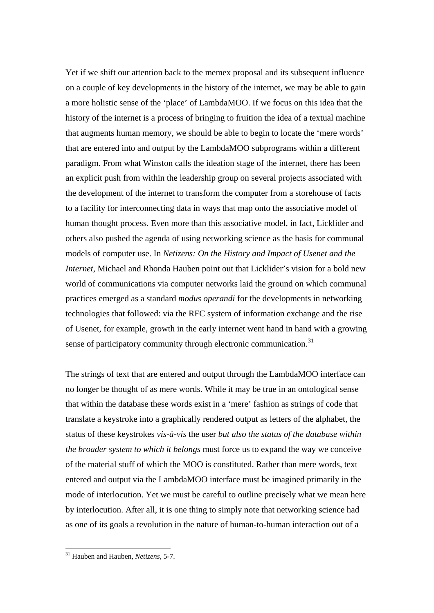Yet if we shift our attention back to the memex proposal and its subsequent influence on a couple of key developments in the history of the internet, we may be able to gain a more holistic sense of the 'place' of LambdaMOO. If we focus on this idea that the history of the internet is a process of bringing to fruition the idea of a textual machine that augments human memory, we should be able to begin to locate the 'mere words' that are entered into and output by the LambdaMOO subprograms within a different paradigm. From what Winston calls the ideation stage of the internet, there has been an explicit push from within the leadership group on several projects associated with the development of the internet to transform the computer from a storehouse of facts to a facility for interconnecting data in ways that map onto the associative model of human thought process. Even more than this associative model, in fact, Licklider and others also pushed the agenda of using networking science as the basis for communal models of computer use. In *Netizens: On the History and Impact of Usenet and the Internet*, Michael and Rhonda Hauben point out that Licklider's vision for a bold new world of communications via computer networks laid the ground on which communal practices emerged as a standard *modus operandi* for the developments in networking technologies that followed: via the RFC system of information exchange and the rise of Usenet, for example, growth in the early internet went hand in hand with a growing sense of participatory community through electronic communication.<sup>[31](#page-12-0)</sup>

The strings of text that are entered and output through the LambdaMOO interface can no longer be thought of as mere words. While it may be true in an ontological sense that within the database these words exist in a 'mere' fashion as strings of code that translate a keystroke into a graphically rendered output as letters of the alphabet, the status of these keystrokes *vis-à-vis* the user *but also the status of the database within the broader system to which it belongs* must force us to expand the way we conceive of the material stuff of which the MOO is constituted. Rather than mere words, text entered and output via the LambdaMOO interface must be imagined primarily in the mode of interlocution. Yet we must be careful to outline precisely what we mean here by interlocution. After all, it is one thing to simply note that networking science had as one of its goals a revolution in the nature of human-to-human interaction out of a

<span id="page-12-0"></span><sup>31</sup> Hauben and Hauben, *Netizens*, 5-7.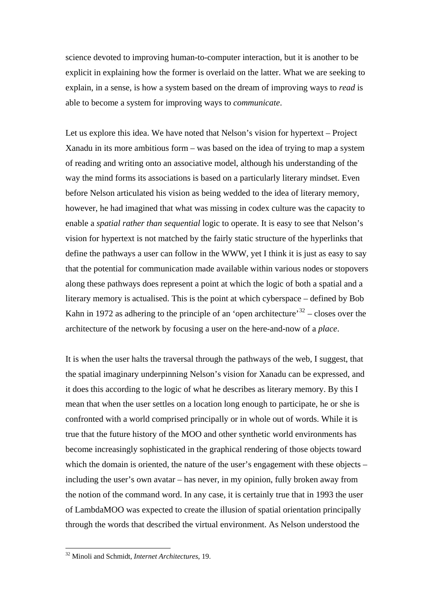science devoted to improving human-to-computer interaction, but it is another to be explicit in explaining how the former is overlaid on the latter. What we are seeking to explain, in a sense, is how a system based on the dream of improving ways to *read* is able to become a system for improving ways to *communicate*.

Let us explore this idea. We have noted that Nelson's vision for hypertext – Project Xanadu in its more ambitious form – was based on the idea of trying to map a system of reading and writing onto an associative model, although his understanding of the way the mind forms its associations is based on a particularly literary mindset. Even before Nelson articulated his vision as being wedded to the idea of literary memory, however, he had imagined that what was missing in codex culture was the capacity to enable a *spatial rather than sequential* logic to operate. It is easy to see that Nelson's vision for hypertext is not matched by the fairly static structure of the hyperlinks that define the pathways a user can follow in the WWW, yet I think it is just as easy to say that the potential for communication made available within various nodes or stopovers along these pathways does represent a point at which the logic of both a spatial and a literary memory is actualised. This is the point at which cyberspace – defined by Bob Kahn in 1972 as adhering to the principle of an 'open architecture'<sup>[32](#page-13-0)</sup> – closes over the architecture of the network by focusing a user on the here-and-now of a *place*.

It is when the user halts the traversal through the pathways of the web, I suggest, that the spatial imaginary underpinning Nelson's vision for Xanadu can be expressed, and it does this according to the logic of what he describes as literary memory. By this I mean that when the user settles on a location long enough to participate, he or she is confronted with a world comprised principally or in whole out of words. While it is true that the future history of the MOO and other synthetic world environments has become increasingly sophisticated in the graphical rendering of those objects toward which the domain is oriented, the nature of the user's engagement with these objects – including the user's own avatar – has never, in my opinion, fully broken away from the notion of the command word. In any case, it is certainly true that in 1993 the user of LambdaMOO was expected to create the illusion of spatial orientation principally through the words that described the virtual environment. As Nelson understood the

<span id="page-13-0"></span><sup>32</sup> Minoli and Schmidt, *Internet Architectures*, 19.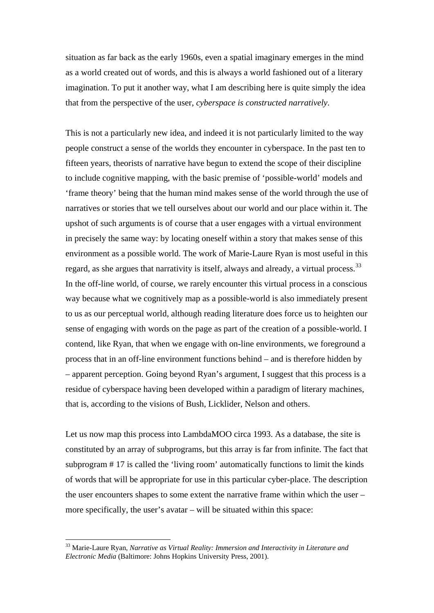situation as far back as the early 1960s, even a spatial imaginary emerges in the mind as a world created out of words, and this is always a world fashioned out of a literary imagination. To put it another way, what I am describing here is quite simply the idea that from the perspective of the user, *cyberspace is constructed narratively*.

This is not a particularly new idea, and indeed it is not particularly limited to the way people construct a sense of the worlds they encounter in cyberspace. In the past ten to fifteen years, theorists of narrative have begun to extend the scope of their discipline to include cognitive mapping, with the basic premise of 'possible-world' models and 'frame theory' being that the human mind makes sense of the world through the use of narratives or stories that we tell ourselves about our world and our place within it. The upshot of such arguments is of course that a user engages with a virtual environment in precisely the same way: by locating oneself within a story that makes sense of this environment as a possible world. The work of Marie-Laure Ryan is most useful in this regard, as she argues that narrativity is itself, always and already, a virtual process.  $33$ In the off-line world, of course, we rarely encounter this virtual process in a conscious way because what we cognitively map as a possible-world is also immediately present to us as our perceptual world, although reading literature does force us to heighten our sense of engaging with words on the page as part of the creation of a possible-world. I contend, like Ryan, that when we engage with on-line environments, we foreground a process that in an off-line environment functions behind – and is therefore hidden by – apparent perception. Going beyond Ryan's argument, I suggest that this process is a residue of cyberspace having been developed within a paradigm of literary machines, that is, according to the visions of Bush, Licklider, Nelson and others.

Let us now map this process into LambdaMOO circa 1993. As a database, the site is constituted by an array of subprograms, but this array is far from infinite. The fact that subprogram # 17 is called the 'living room' automatically functions to limit the kinds of words that will be appropriate for use in this particular cyber-place. The description the user encounters shapes to some extent the narrative frame within which the user – more specifically, the user's avatar – will be situated within this space:

<span id="page-14-0"></span><sup>33</sup> Marie-Laure Ryan, *Narrative as Virtual Reality: Immersion and Interactivity in Literature and Electronic Media* (Baltimore: Johns Hopkins University Press, 2001).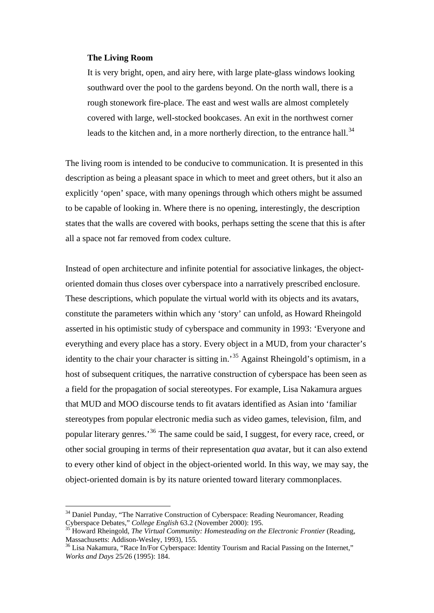#### **The Living Room**

It is very bright, open, and airy here, with large plate-glass windows looking southward over the pool to the gardens beyond. On the north wall, there is a rough stonework fire-place. The east and west walls are almost completely covered with large, well-stocked bookcases. An exit in the northwest corner leads to the kitchen and, in a more northerly direction, to the entrance hall.<sup>[34](#page-15-0)</sup>

The living room is intended to be conducive to communication. It is presented in this description as being a pleasant space in which to meet and greet others, but it also an explicitly 'open' space, with many openings through which others might be assumed to be capable of looking in. Where there is no opening, interestingly, the description states that the walls are covered with books, perhaps setting the scene that this is after all a space not far removed from codex culture.

Instead of open architecture and infinite potential for associative linkages, the objectoriented domain thus closes over cyberspace into a narratively prescribed enclosure. These descriptions, which populate the virtual world with its objects and its avatars, constitute the parameters within which any 'story' can unfold, as Howard Rheingold asserted in his optimistic study of cyberspace and community in 1993: 'Everyone and everything and every place has a story. Every object in a MUD, from your character's identity to the chair your character is sitting in.<sup>[35](#page-15-1)</sup> Against Rheingold's optimism, in a host of subsequent critiques, the narrative construction of cyberspace has been seen as a field for the propagation of social stereotypes. For example, Lisa Nakamura argues that MUD and MOO discourse tends to fit avatars identified as Asian into 'familiar stereotypes from popular electronic media such as video games, television, film, and popular literary genres.'[36](#page-15-2) The same could be said, I suggest, for every race, creed, or other social grouping in terms of their representation *qua* avatar, but it can also extend to every other kind of object in the object-oriented world. In this way, we may say, the object-oriented domain is by its nature oriented toward literary commonplaces.

<span id="page-15-0"></span> $34$  Daniel Punday, "The Narrative Construction of Cyberspace: Reading Neuromancer, Reading Cyberspace Debates," *College English* 63.2 (November 2000): 195.

<span id="page-15-1"></span>*Follege Englishing Englishing College Englishing Cnumesteading on the Electronic Frontier* (Reading, Massachusetts: Addison-Wesley, 1993), 155.

<span id="page-15-2"></span><sup>&</sup>lt;sup>36</sup> Lisa Nakamura, "Race In/For Cyberspace: Identity Tourism and Racial Passing on the Internet," *Works and Days* 25/26 (1995): 184.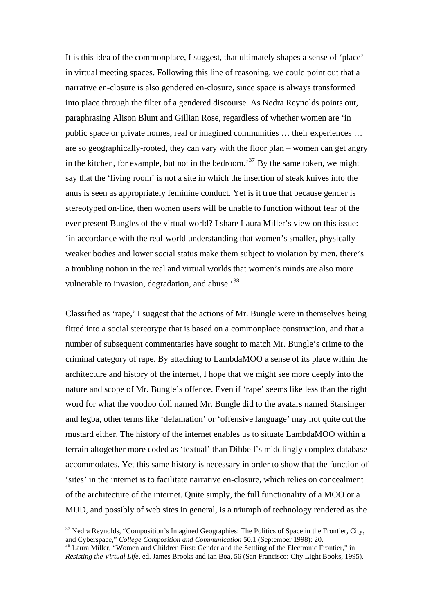It is this idea of the commonplace, I suggest, that ultimately shapes a sense of 'place' in virtual meeting spaces. Following this line of reasoning, we could point out that a narrative en-closure is also gendered en-closure, since space is always transformed into place through the filter of a gendered discourse. As Nedra Reynolds points out, paraphrasing Alison Blunt and Gillian Rose, regardless of whether women are 'in public space or private homes, real or imagined communities … their experiences … are so geographically-rooted, they can vary with the floor plan – women can get angry in the kitchen, for example, but not in the bedroom.<sup>[37](#page-16-0)</sup> By the same token, we might say that the 'living room' is not a site in which the insertion of steak knives into the anus is seen as appropriately feminine conduct. Yet is it true that because gender is stereotyped on-line, then women users will be unable to function without fear of the ever present Bungles of the virtual world? I share Laura Miller's view on this issue: 'in accordance with the real-world understanding that women's smaller, physically weaker bodies and lower social status make them subject to violation by men, there's a troubling notion in the real and virtual worlds that women's minds are also more vulnerable to invasion, degradation, and abuse.<sup>[38](#page-16-1)</sup>

Classified as 'rape,' I suggest that the actions of Mr. Bungle were in themselves being fitted into a social stereotype that is based on a commonplace construction, and that a number of subsequent commentaries have sought to match Mr. Bungle's crime to the criminal category of rape. By attaching to LambdaMOO a sense of its place within the architecture and history of the internet, I hope that we might see more deeply into the nature and scope of Mr. Bungle's offence. Even if 'rape' seems like less than the right word for what the voodoo doll named Mr. Bungle did to the avatars named Starsinger and legba, other terms like 'defamation' or 'offensive language' may not quite cut the mustard either. The history of the internet enables us to situate LambdaMOO within a terrain altogether more coded as 'textual' than Dibbell's middlingly complex database accommodates. Yet this same history is necessary in order to show that the function of 'sites' in the internet is to facilitate narrative en-closure, which relies on concealment of the architecture of the internet. Quite simply, the full functionality of a MOO or a MUD, and possibly of web sites in general, is a triumph of technology rendered as the

<span id="page-16-0"></span><sup>&</sup>lt;sup>37</sup> Nedra Reynolds, "Composition's Imagined Geographies: The Politics of Space in the Frontier, City, and Cyberspace," *College Composition and Communication* 50.1 (September 1998): 20.<br><sup>38</sup> Laura Miller, "Women and Children First: Gender and the Settling of the Electronic Frontier," in

<span id="page-16-1"></span>*Resisting the Virtual Life*, ed. James Brooks and Ian Boa, 56 (San Francisco: City Light Books, 1995).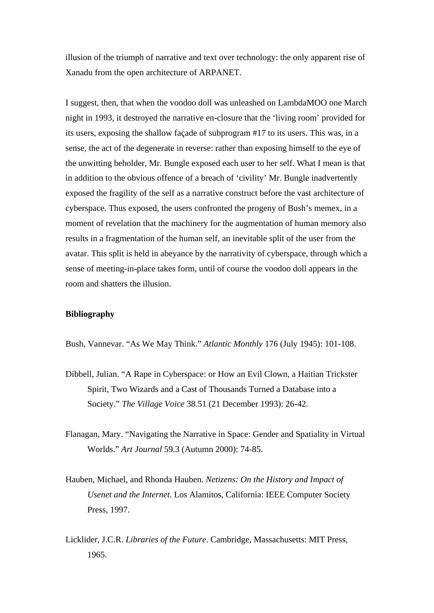illusion of the triumph of narrative and text over technology: the only apparent rise of Xanadu from the open architecture of ARPANET.

I suggest, then, that when the voodoo doll was unleashed on LambdaMOO one March night in 1993, it destroyed the narrative en-closure that the 'living room' provided for its users, exposing the shallow façade of subprogram #17 to its users. This was, in a sense, the act of the degenerate in reverse: rather than exposing himself to the eye of the unwitting beholder, Mr. Bungle exposed each user to her self. What I mean is that in addition to the obvious offence of a breach of 'civility' Mr. Bungle inadvertently exposed the fragility of the self as a narrative construct before the vast architecture of cyberspace. Thus exposed, the users confronted the progeny of Bush's memex, in a moment of revelation that the machinery for the augmentation of human memory also results in a fragmentation of the human self, an inevitable split of the user from the avatar. This split is held in abeyance by the narrativity of cyberspace, through which a sense of meeting-in-place takes form, until of course the voodoo doll appears in the room and shatters the illusion.

# **Bibliography**

Bush, Vannevar. "As We May Think." *Atlantic Monthly* 176 (July 1945): 101-108.

- Dibbell, Julian. "A Rape in Cyberspace: or How an Evil Clown, a Haitian Trickster Spirit, Two Wizards and a Cast of Thousands Turned a Database into a Society." *The Village Voice* 38.51 (21 December 1993): 26-42.
- Flanagan, Mary. "Navigating the Narrative in Space: Gender and Spatiality in Virtual Worlds." *Art Journal* 59.3 (Autumn 2000): 74-85.
- Hauben, Michael, and Rhonda Hauben. *Netizens: On the History and Impact of Usenet and the Internet*. Los Alamitos, California: IEEE Computer Society Press, 1997.
- Licklider, J.C.R. *Libraries of the Future*. Cambridge, Massachusetts: MIT Press, 1965.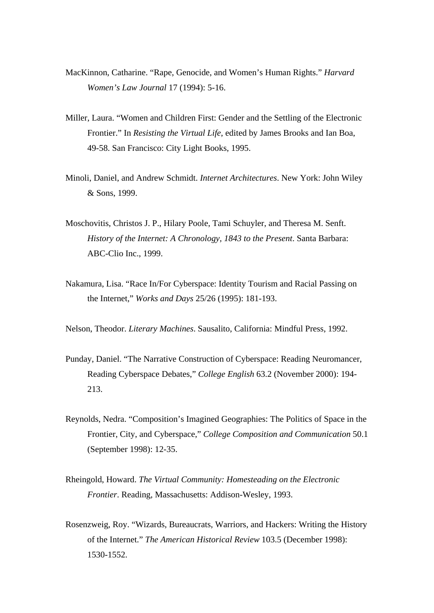- MacKinnon, Catharine. "Rape, Genocide, and Women's Human Rights." *Harvard Women's Law Journal* 17 (1994): 5-16.
- Miller, Laura. "Women and Children First: Gender and the Settling of the Electronic Frontier." In *Resisting the Virtual Life*, edited by James Brooks and Ian Boa, 49-58. San Francisco: City Light Books, 1995.
- Minoli, Daniel, and Andrew Schmidt. *Internet Architectures*. New York: John Wiley & Sons, 1999.
- Moschovitis, Christos J. P., Hilary Poole, Tami Schuyler, and Theresa M. Senft. *History of the Internet: A Chronology, 1843 to the Present*. Santa Barbara: ABC-Clio Inc., 1999.
- Nakamura, Lisa. "Race In/For Cyberspace: Identity Tourism and Racial Passing on the Internet," *Works and Days* 25/26 (1995): 181-193.
- Nelson, Theodor. *Literary Machines*. Sausalito, California: Mindful Press, 1992.
- Punday, Daniel. "The Narrative Construction of Cyberspace: Reading Neuromancer, Reading Cyberspace Debates," *College English* 63.2 (November 2000): 194- 213.
- Reynolds, Nedra. "Composition's Imagined Geographies: The Politics of Space in the Frontier, City, and Cyberspace," *College Composition and Communication* 50.1 (September 1998): 12-35.
- Rheingold, Howard. *The Virtual Community: Homesteading on the Electronic Frontier*. Reading, Massachusetts: Addison-Wesley, 1993.
- Rosenzweig, Roy. "Wizards, Bureaucrats, Warriors, and Hackers: Writing the History of the Internet." *The American Historical Review* 103.5 (December 1998): 1530-1552.